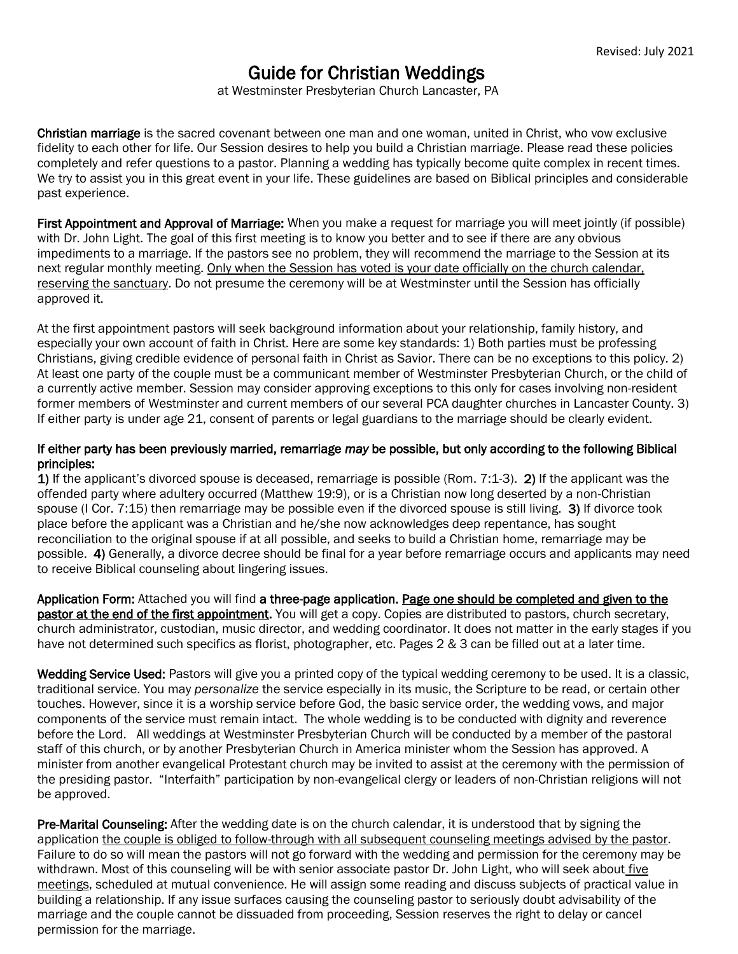## Guide for Christian Weddings

at Westminster Presbyterian Church Lancaster, PA

Christian marriage is the sacred covenant between one man and one woman, united in Christ, who vow exclusive fidelity to each other for life. Our Session desires to help you build a Christian marriage. Please read these policies completely and refer questions to a pastor. Planning a wedding has typically become quite complex in recent times. We try to assist you in this great event in your life. These guidelines are based on Biblical principles and considerable past experience.

First Appointment and Approval of Marriage: When you make a request for marriage you will meet jointly (if possible) with Dr. John Light. The goal of this first meeting is to know you better and to see if there are any obvious impediments to a marriage. If the pastors see no problem, they will recommend the marriage to the Session at its next regular monthly meeting. Only when the Session has voted is your date officially on the church calendar, reserving the sanctuary. Do not presume the ceremony will be at Westminster until the Session has officially approved it.

At the first appointment pastors will seek background information about your relationship, family history, and especially your own account of faith in Christ. Here are some key standards: 1) Both parties must be professing Christians, giving credible evidence of personal faith in Christ as Savior. There can be no exceptions to this policy. 2) At least one party of the couple must be a communicant member of Westminster Presbyterian Church, or the child of a currently active member. Session may consider approving exceptions to this only for cases involving non-resident former members of Westminster and current members of our several PCA daughter churches in Lancaster County. 3) If either party is under age 21, consent of parents or legal guardians to the marriage should be clearly evident.

### If either party has been previously married, remarriage *may* be possible, but only according to the following Biblical principles:

1) If the applicant's divorced spouse is deceased, remarriage is possible (Rom. 7:1-3). 2) If the applicant was the offended party where adultery occurred (Matthew 19:9), or is a Christian now long deserted by a non-Christian spouse (I Cor. 7:15) then remarriage may be possible even if the divorced spouse is still living. 3) If divorce took place before the applicant was a Christian and he/she now acknowledges deep repentance, has sought reconciliation to the original spouse if at all possible, and seeks to build a Christian home, remarriage may be possible. 4) Generally, a divorce decree should be final for a year before remarriage occurs and applicants may need to receive Biblical counseling about lingering issues.

Application Form: Attached you will find a three-page application. Page one should be completed and given to the pastor at the end of the first appointment. You will get a copy. Copies are distributed to pastors, church secretary, church administrator, custodian, music director, and wedding coordinator. It does not matter in the early stages if you have not determined such specifics as florist, photographer, etc. Pages 2 & 3 can be filled out at a later time.

Wedding Service Used: Pastors will give you a printed copy of the typical wedding ceremony to be used. It is a classic, traditional service. You may *personalize* the service especially in its music, the Scripture to be read, or certain other touches. However, since it is a worship service before God, the basic service order, the wedding vows, and major components of the service must remain intact. The whole wedding is to be conducted with dignity and reverence before the Lord. All weddings at Westminster Presbyterian Church will be conducted by a member of the pastoral staff of this church, or by another Presbyterian Church in America minister whom the Session has approved. A minister from another evangelical Protestant church may be invited to assist at the ceremony with the permission of the presiding pastor. "Interfaith" participation by non-evangelical clergy or leaders of non-Christian religions will not be approved.

Pre-Marital Counseling: After the wedding date is on the church calendar, it is understood that by signing the application the couple is obliged to follow-through with all subsequent counseling meetings advised by the pastor. Failure to do so will mean the pastors will not go forward with the wedding and permission for the ceremony may be withdrawn. Most of this counseling will be with senior associate pastor Dr. John Light, who will seek about five meetings, scheduled at mutual convenience. He will assign some reading and discuss subjects of practical value in building a relationship. If any issue surfaces causing the counseling pastor to seriously doubt advisability of the marriage and the couple cannot be dissuaded from proceeding, Session reserves the right to delay or cancel permission for the marriage.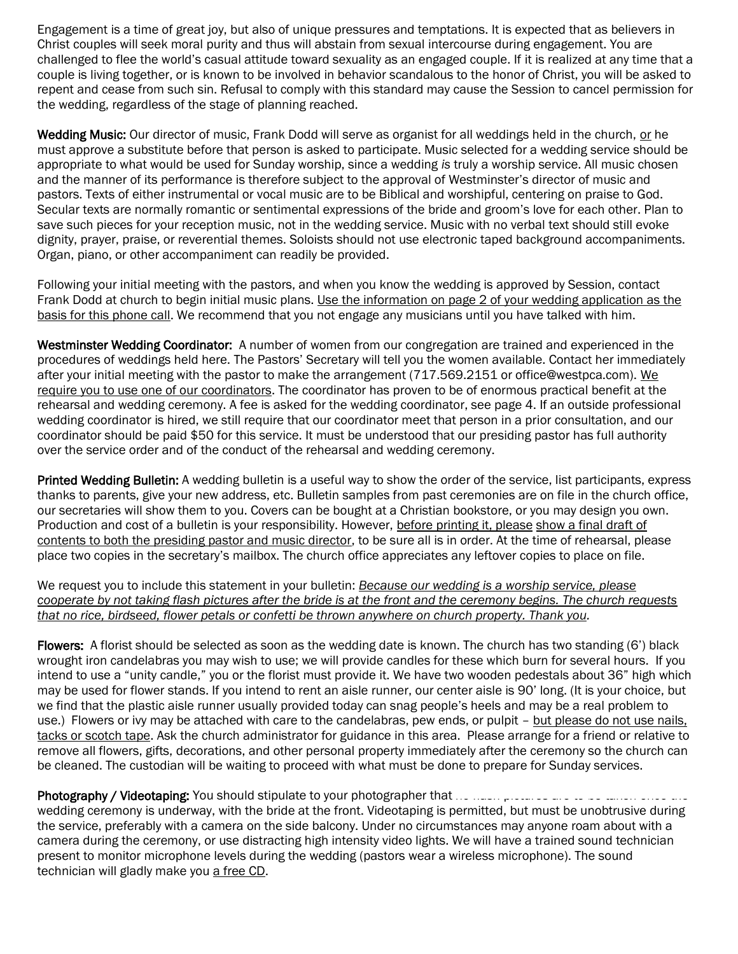Engagement is a time of great joy, but also of unique pressures and temptations. It is expected that as believers in Christ couples will seek moral purity and thus will abstain from sexual intercourse during engagement. You are challenged to flee the world's casual attitude toward sexuality as an engaged couple. If it is realized at any time that a couple is living together, or is known to be involved in behavior scandalous to the honor of Christ, you will be asked to repent and cease from such sin. Refusal to comply with this standard may cause the Session to cancel permission for the wedding, regardless of the stage of planning reached.

Wedding Music: Our director of music. Frank Dodd will serve as organist for all weddings held in the church, or he must approve a substitute before that person is asked to participate. Music selected for a wedding service should be appropriate to what would be used for Sunday worship, since a wedding *is* truly a worship service. All music chosen and the manner of its performance is therefore subject to the approval of Westminster's director of music and pastors. Texts of either instrumental or vocal music are to be Biblical and worshipful, centering on praise to God. Secular texts are normally romantic or sentimental expressions of the bride and groom's love for each other. Plan to save such pieces for your reception music, not in the wedding service. Music with no verbal text should still evoke dignity, prayer, praise, or reverential themes. Soloists should not use electronic taped background accompaniments. Organ, piano, or other accompaniment can readily be provided.

Following your initial meeting with the pastors, and when you know the wedding is approved by Session, contact Frank Dodd at church to begin initial music plans. Use the information on page 2 of your wedding application as the basis for this phone call. We recommend that you not engage any musicians until you have talked with him.

Westminster Wedding Coordinator: A number of women from our congregation are trained and experienced in the procedures of weddings held here. The Pastors' Secretary will tell you the women available. Contact her immediately after your initial meeting with the pastor to make the arrangement (717.569.2151 or office@westpca.com). We require you to use one of our coordinators. The coordinator has proven to be of enormous practical benefit at the rehearsal and wedding ceremony. A fee is asked for the wedding coordinator, see page 4. If an outside professional wedding coordinator is hired, we still require that our coordinator meet that person in a prior consultation, and our coordinator should be paid \$50 for this service. It must be understood that our presiding pastor has full authority over the service order and of the conduct of the rehearsal and wedding ceremony.

Printed Wedding Bulletin: A wedding bulletin is a useful way to show the order of the service, list participants, express thanks to parents, give your new address, etc. Bulletin samples from past ceremonies are on file in the church office, our secretaries will show them to you. Covers can be bought at a Christian bookstore, or you may design you own. Production and cost of a bulletin is your responsibility. However, before printing it, please show a final draft of contents to both the presiding pastor and music director, to be sure all is in order. At the time of rehearsal, please place two copies in the secretary's mailbox. The church office appreciates any leftover copies to place on file.

We request you to include this statement in your bulletin: *Because our wedding is a worship service, please cooperate by not taking flash pictures after the bride is at the front and the ceremony begins. The church requests that no rice, birdseed, flower petals or confetti be thrown anywhere on church property. Thank you.*

Flowers: A florist should be selected as soon as the wedding date is known. The church has two standing (6') black wrought iron candelabras you may wish to use; we will provide candles for these which burn for several hours. If you intend to use a "unity candle," you or the florist must provide it. We have two wooden pedestals about 36" high which may be used for flower stands. If you intend to rent an aisle runner, our center aisle is 90' long. (It is your choice, but we find that the plastic aisle runner usually provided today can snag people's heels and may be a real problem to use.) Flowers or ivy may be attached with care to the candelabras, pew ends, or pulpit – but please do not use nails, tacks or scotch tape. Ask the church administrator for guidance in this area. Please arrange for a friend or relative to remove all flowers, gifts, decorations, and other personal property immediately after the ceremony so the church can be cleaned. The custodian will be waiting to proceed with what must be done to prepare for Sunday services.

Photography / Videotaping: You should stipulate to your photographer that no mean pictures are to be taken once the wedding ceremony is underway, with the bride at the front. Videotaping is permitted, but must be unobtrusive during the service, preferably with a camera on the side balcony. Under no circumstances may anyone roam about with a camera during the ceremony, or use distracting high intensity video lights. We will have a trained sound technician present to monitor microphone levels during the wedding (pastors wear a wireless microphone). The sound technician will gladly make you a free CD.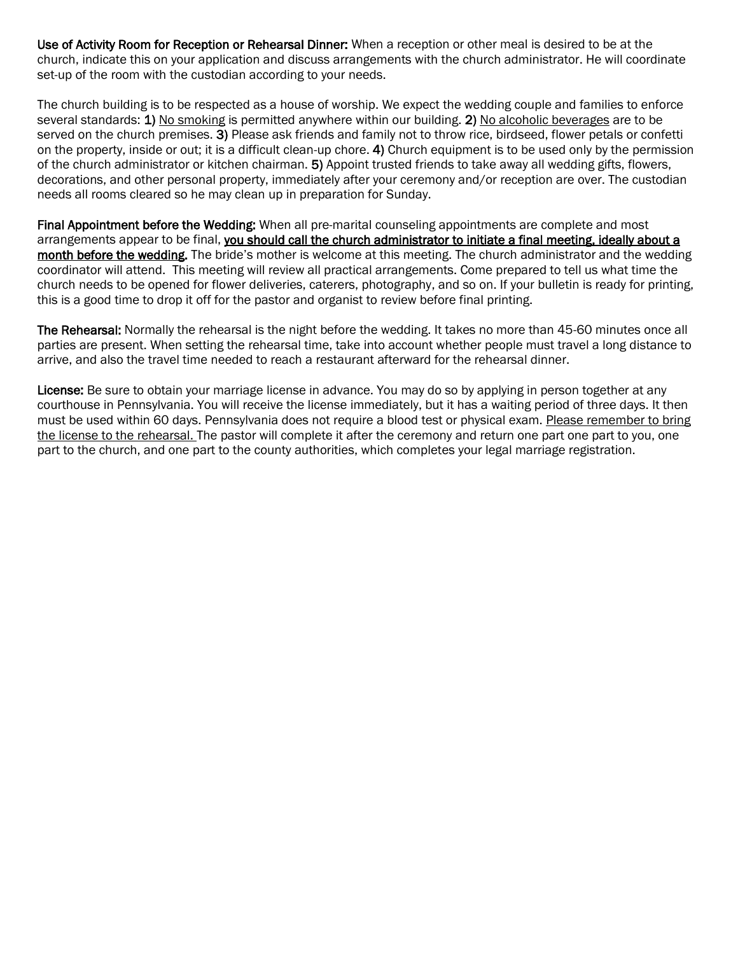Use of Activity Room for Reception or Rehearsal Dinner: When a reception or other meal is desired to be at the church, indicate this on your application and discuss arrangements with the church administrator. He will coordinate set-up of the room with the custodian according to your needs.

The church building is to be respected as a house of worship. We expect the wedding couple and families to enforce several standards: 1) No smoking is permitted anywhere within our building. 2) No alcoholic beverages are to be served on the church premises. 3) Please ask friends and family not to throw rice, birdseed, flower petals or confetti on the property, inside or out; it is a difficult clean-up chore. 4) Church equipment is to be used only by the permission of the church administrator or kitchen chairman. 5) Appoint trusted friends to take away all wedding gifts, flowers, decorations, and other personal property, immediately after your ceremony and/or reception are over. The custodian needs all rooms cleared so he may clean up in preparation for Sunday.

Final Appointment before the Wedding: When all pre-marital counseling appointments are complete and most arrangements appear to be final, you should call the church administrator to initiate a final meeting, ideally about a month before the wedding. The bride's mother is welcome at this meeting. The church administrator and the wedding coordinator will attend. This meeting will review all practical arrangements. Come prepared to tell us what time the church needs to be opened for flower deliveries, caterers, photography, and so on. If your bulletin is ready for printing, this is a good time to drop it off for the pastor and organist to review before final printing.

The Rehearsal: Normally the rehearsal is the night before the wedding. It takes no more than 45-60 minutes once all parties are present. When setting the rehearsal time, take into account whether people must travel a long distance to arrive, and also the travel time needed to reach a restaurant afterward for the rehearsal dinner.

License: Be sure to obtain your marriage license in advance. You may do so by applying in person together at any courthouse in Pennsylvania. You will receive the license immediately, but it has a waiting period of three days. It then must be used within 60 days. Pennsylvania does not require a blood test or physical exam. Please remember to bring the license to the rehearsal. The pastor will complete it after the ceremony and return one part one part to you, one part to the church, and one part to the county authorities, which completes your legal marriage registration.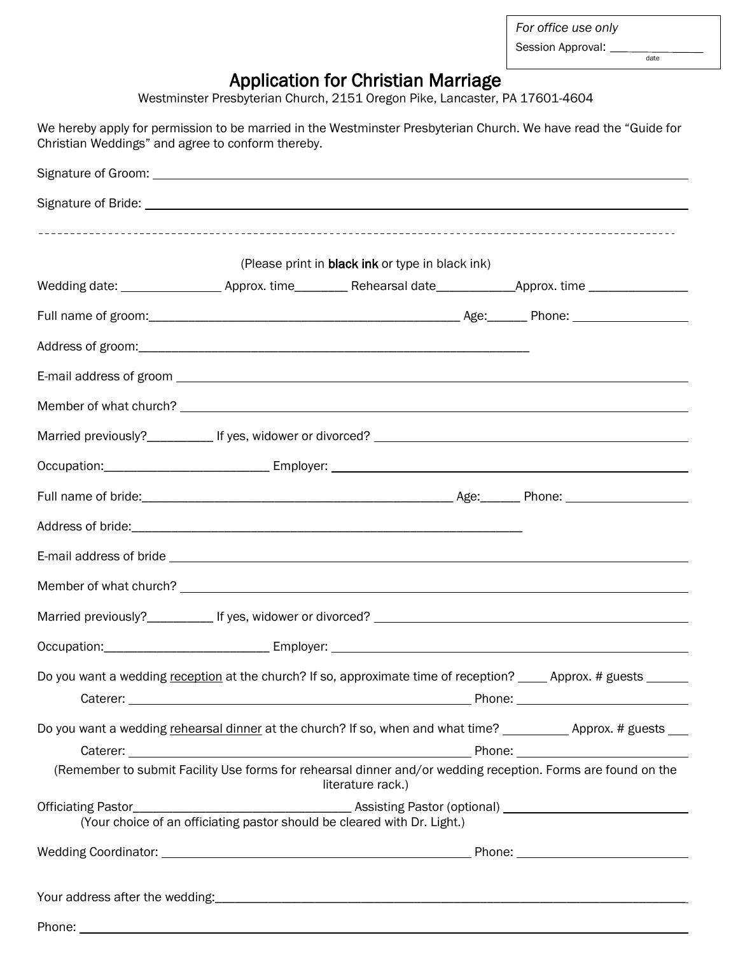*For office use only* Session Approval: \_\_\_\_\_

date

# Application for Christian Marriage

Westminster Presbyterian Church, 2151 Oregon Pike, Lancaster, PA 17601-4604

We hereby apply for permission to be married in the Westminster Presbyterian Church. We have read the "Guide for Christian Weddings" and agree to conform thereby.

| (Please print in black ink or type in black ink) |                                                                          |                   |                                                                                                                    |  |  |  |
|--------------------------------------------------|--------------------------------------------------------------------------|-------------------|--------------------------------------------------------------------------------------------------------------------|--|--|--|
|                                                  |                                                                          |                   |                                                                                                                    |  |  |  |
|                                                  |                                                                          |                   |                                                                                                                    |  |  |  |
|                                                  |                                                                          |                   |                                                                                                                    |  |  |  |
|                                                  |                                                                          |                   |                                                                                                                    |  |  |  |
|                                                  |                                                                          |                   |                                                                                                                    |  |  |  |
|                                                  |                                                                          |                   |                                                                                                                    |  |  |  |
|                                                  |                                                                          |                   |                                                                                                                    |  |  |  |
|                                                  |                                                                          |                   |                                                                                                                    |  |  |  |
|                                                  |                                                                          |                   |                                                                                                                    |  |  |  |
|                                                  |                                                                          |                   |                                                                                                                    |  |  |  |
|                                                  |                                                                          |                   |                                                                                                                    |  |  |  |
|                                                  |                                                                          |                   |                                                                                                                    |  |  |  |
|                                                  |                                                                          |                   |                                                                                                                    |  |  |  |
| Caterer:                                         |                                                                          |                   | Do you want a wedding reception at the church? If so, approximate time of reception? _____ Approx. # guests ______ |  |  |  |
|                                                  |                                                                          |                   | Do you want a wedding rehearsal dinner at the church? If so, when and what time? ____________ Approx. # guests ___ |  |  |  |
|                                                  |                                                                          | literature rack.) | (Remember to submit Facility Use forms for rehearsal dinner and/or wedding reception. Forms are found on the       |  |  |  |
|                                                  | (Your choice of an officiating pastor should be cleared with Dr. Light.) |                   |                                                                                                                    |  |  |  |
|                                                  |                                                                          |                   |                                                                                                                    |  |  |  |
|                                                  |                                                                          |                   |                                                                                                                    |  |  |  |
|                                                  |                                                                          |                   |                                                                                                                    |  |  |  |

Phone: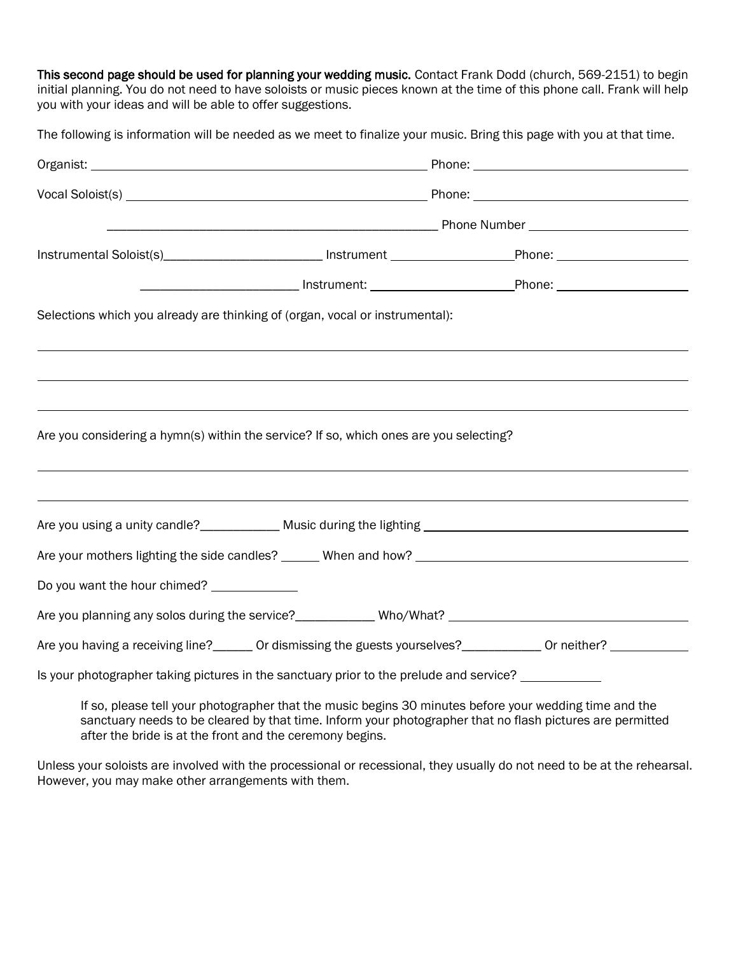This second page should be used for planning your wedding music. Contact Frank Dodd (church, 569-2151) to begin initial planning. You do not need to have soloists or music pieces known at the time of this phone call. Frank will help you with your ideas and will be able to offer suggestions.

The following is information will be needed as we meet to finalize your music. Bring this page with you at that time.

| Instrumental Soloist(s)__________________________ Instrument ____________________Phone: ______________________ |                                                                                                                                                                                                                     |  |  |
|----------------------------------------------------------------------------------------------------------------|---------------------------------------------------------------------------------------------------------------------------------------------------------------------------------------------------------------------|--|--|
|                                                                                                                |                                                                                                                                                                                                                     |  |  |
| Selections which you already are thinking of (organ, vocal or instrumental):                                   |                                                                                                                                                                                                                     |  |  |
|                                                                                                                |                                                                                                                                                                                                                     |  |  |
|                                                                                                                |                                                                                                                                                                                                                     |  |  |
|                                                                                                                |                                                                                                                                                                                                                     |  |  |
| Are you considering a hymn(s) within the service? If so, which ones are you selecting?                         |                                                                                                                                                                                                                     |  |  |
|                                                                                                                |                                                                                                                                                                                                                     |  |  |
|                                                                                                                |                                                                                                                                                                                                                     |  |  |
|                                                                                                                |                                                                                                                                                                                                                     |  |  |
|                                                                                                                |                                                                                                                                                                                                                     |  |  |
| Do you want the hour chimed? _____________                                                                     |                                                                                                                                                                                                                     |  |  |
|                                                                                                                |                                                                                                                                                                                                                     |  |  |
| Are you having a receiving line?_______ Or dismissing the guests yourselves?____________ Or neither? _________ |                                                                                                                                                                                                                     |  |  |
| Is your photographer taking pictures in the sanctuary prior to the prelude and service?                        |                                                                                                                                                                                                                     |  |  |
| after the bride is at the front and the ceremony begins.                                                       | If so, please tell your photographer that the music begins 30 minutes before your wedding time and the<br>sanctuary needs to be cleared by that time. Inform your photographer that no flash pictures are permitted |  |  |

Unless your soloists are involved with the processional or recessional, they usually do not need to be at the rehearsal. However, you may make other arrangements with them.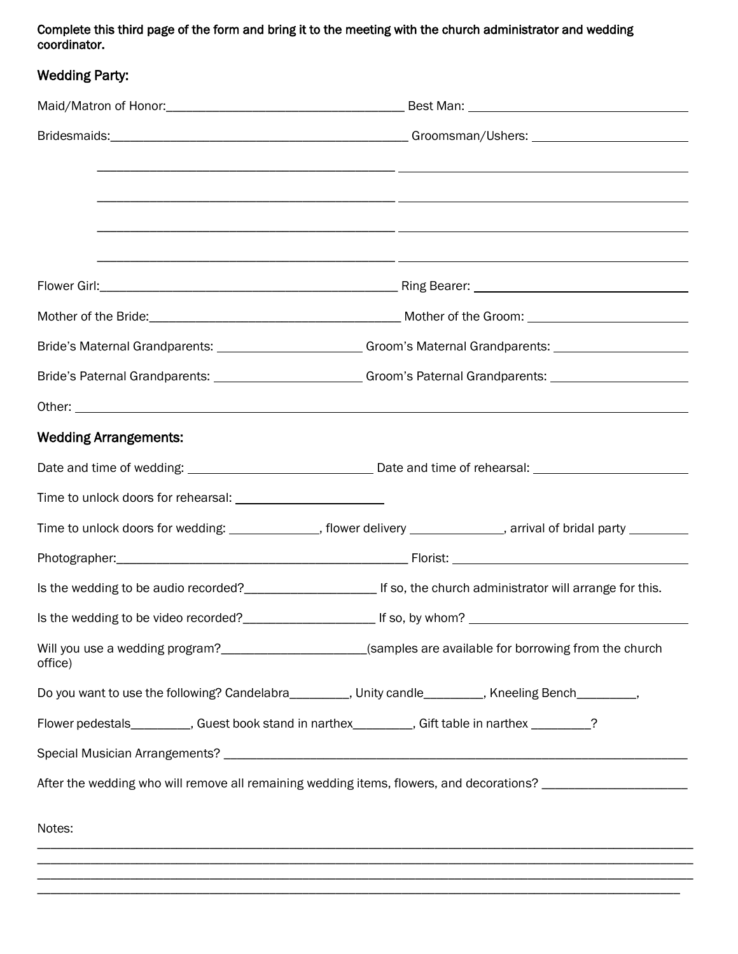Complete this third page of the form and bring it to the meeting with the church administrator and wedding coordinator.

### Wedding Party:

| Bride's Maternal Grandparents: __________________________Groom's Maternal Grandparents: ______________________            |  |  |
|---------------------------------------------------------------------------------------------------------------------------|--|--|
| Bride's Paternal Grandparents: __________________________Groom's Paternal Grandparents: ______________________            |  |  |
|                                                                                                                           |  |  |
| <b>Wedding Arrangements:</b>                                                                                              |  |  |
|                                                                                                                           |  |  |
|                                                                                                                           |  |  |
| Time to unlock doors for wedding: ______________, flower delivery _____________, arrival of bridal party ________         |  |  |
|                                                                                                                           |  |  |
| Is the wedding to be audio recorded?<br><u> Letter Letter 2001</u> If so, the church administrator will arrange for this. |  |  |
| Is the wedding to be video recorded?_________________________ If so, by whom? ________________________________            |  |  |
| Will you use a wedding program?________________________(samples are available for borrowing from the church<br>office)    |  |  |
| Do you want to use the following? Candelabra________, Unity candle_______, Kneeling Bench_______,                         |  |  |
| Flower pedestals__________, Guest book stand in narthex_________, Gift table in narthex ________?                         |  |  |
|                                                                                                                           |  |  |
| After the wedding who will remove all remaining wedding items, flowers, and decorations? _____________________            |  |  |
| Notes:                                                                                                                    |  |  |
|                                                                                                                           |  |  |

\_\_\_\_\_\_\_\_\_\_\_\_\_\_\_\_\_\_\_\_\_\_\_\_\_\_\_\_\_\_\_\_\_\_\_\_\_\_\_\_\_\_\_\_\_\_\_\_\_\_\_\_\_\_\_\_\_\_\_\_\_\_\_\_\_\_\_\_\_\_\_\_\_\_\_\_\_\_\_\_\_\_\_\_\_\_\_\_\_\_\_\_\_\_\_\_\_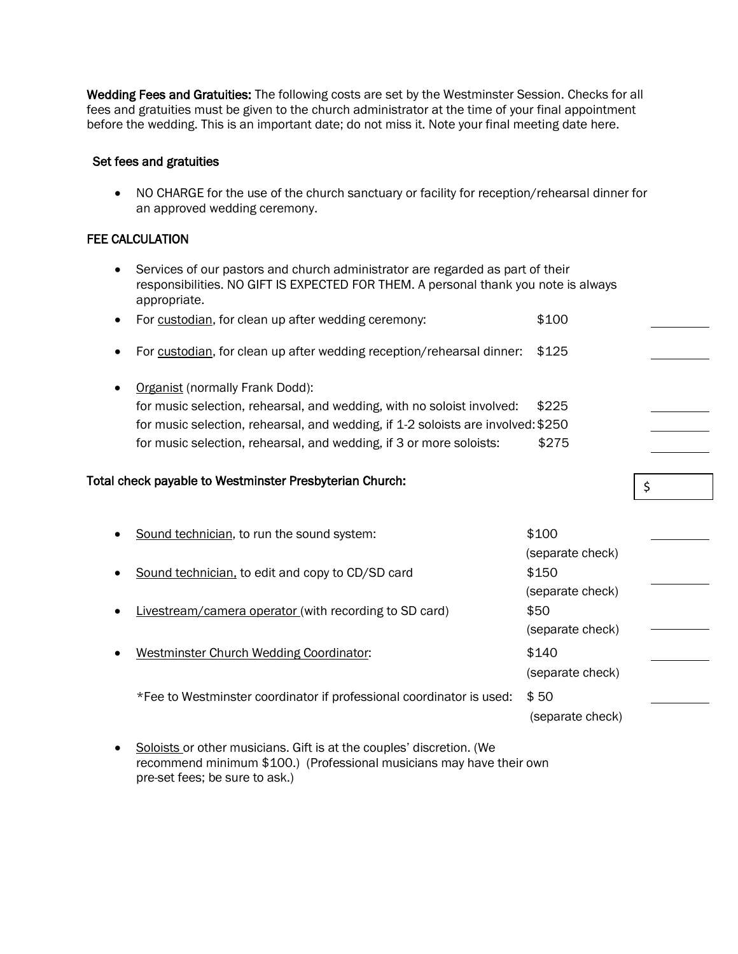Wedding Fees and Gratuities: The following costs are set by the Westminster Session. Checks for all fees and gratuities must be given to the church administrator at the time of your final appointment before the wedding. This is an important date; do not miss it. Note your final meeting date here.

#### Set fees and gratuities

• NO CHARGE for the use of the church sanctuary or facility for reception/rehearsal dinner for an approved wedding ceremony.

### FEE CALCULATION

- Services of our pastors and church administrator are regarded as part of their responsibilities. NO GIFT IS EXPECTED FOR THEM. A personal thank you note is always appropriate.
- For custodian, for clean up after wedding ceremony:  $$100$
- For custodian, for clean up after wedding reception/rehearsal dinner: \$125
- Organist (normally Frank Dodd): for music selection, rehearsal, and wedding, with no soloist involved: \$225 for music selection, rehearsal, and wedding, if 1-2 soloists are involved:\$250 for music selection, rehearsal, and wedding, if 3 or more soloists: \$275

### Total check payable to Westminster Presbyterian Church:

| $\bullet$ | Sound technician, to run the sound system:                           | \$100            |  |
|-----------|----------------------------------------------------------------------|------------------|--|
|           |                                                                      | (separate check) |  |
| $\bullet$ | Sound technician, to edit and copy to CD/SD card                     | \$150            |  |
|           |                                                                      | (separate check) |  |
| $\bullet$ | Livestream/camera operator (with recording to SD card)               | \$50             |  |
|           |                                                                      | (separate check) |  |
| $\bullet$ | Westminster Church Wedding Coordinator:                              | \$140            |  |
|           |                                                                      | (separate check) |  |
|           | *Fee to Westminster coordinator if professional coordinator is used: | \$50             |  |
|           |                                                                      | (separate check) |  |
|           |                                                                      |                  |  |

• Soloists or other musicians. Gift is at the couples' discretion. (We recommend minimum \$100.) (Professional musicians may have their own pre-set fees; be sure to ask.)

 $\frac{1}{2}$